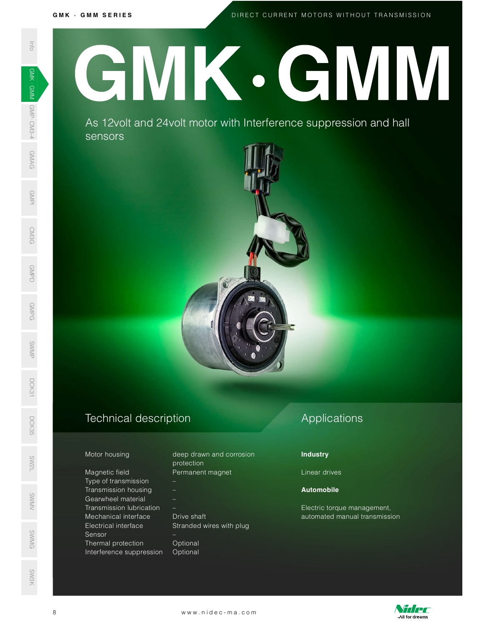# G M K · G M M S E R I E S<br>DIREC D I R E C T C U R R E N T M O T O R S W I T H O U T T R A N S M I S S I O N SWARK INFo GMAN **AS 12**<br>SENSION CRIPS ON A SA 12<br>SENSION CRIPS ON A SA 12<br>The GMAN Motor hours of Granwhee Transmiss<br>Mechanical Sensor Thermal (Electrical Sensor Thermal functioner) GMK GMM

As 12 volt and 24 volt motor with Interference suppression and hall sensors  $\frac{2}{5}$ <br> $\frac{2}{5}$ <br> $\frac{2}{5}$ <br> $\frac{2}{5}$ <br> $\frac{2}{5}$ <br> $\frac{2}{5}$ 



# Technical description D<sub>CK</sub><br>35<br>55

### Motor housing

Magnetic field Type of transmission – Transmission housing – Gearwheel material – SWMV Transmission lubrication – Mechanical interface Drive shaft Electrical interface Stranded wires with plug Sensor – ©<br>Sensimal protection and Optional<br>Sensimal protection of Optional Interference suppression Optional Mechanical interface Urive shaft<br>
Electrical interface Stranded wires with plug<br>
Sensor<br>
Thermal protection —<br>
Interference suppression Optional<br>
Interference suppression Optional<br>
WWW.nidec-ma.com

| Motor housing  | deep drawn and corrosion |
|----------------|--------------------------|
|                | protection               |
| Magnetic field | Permanent magnet         |

# Applications

## **Industry**

Linear drives

## Automobile

Electric torque management, automated manual transmission



SW3K